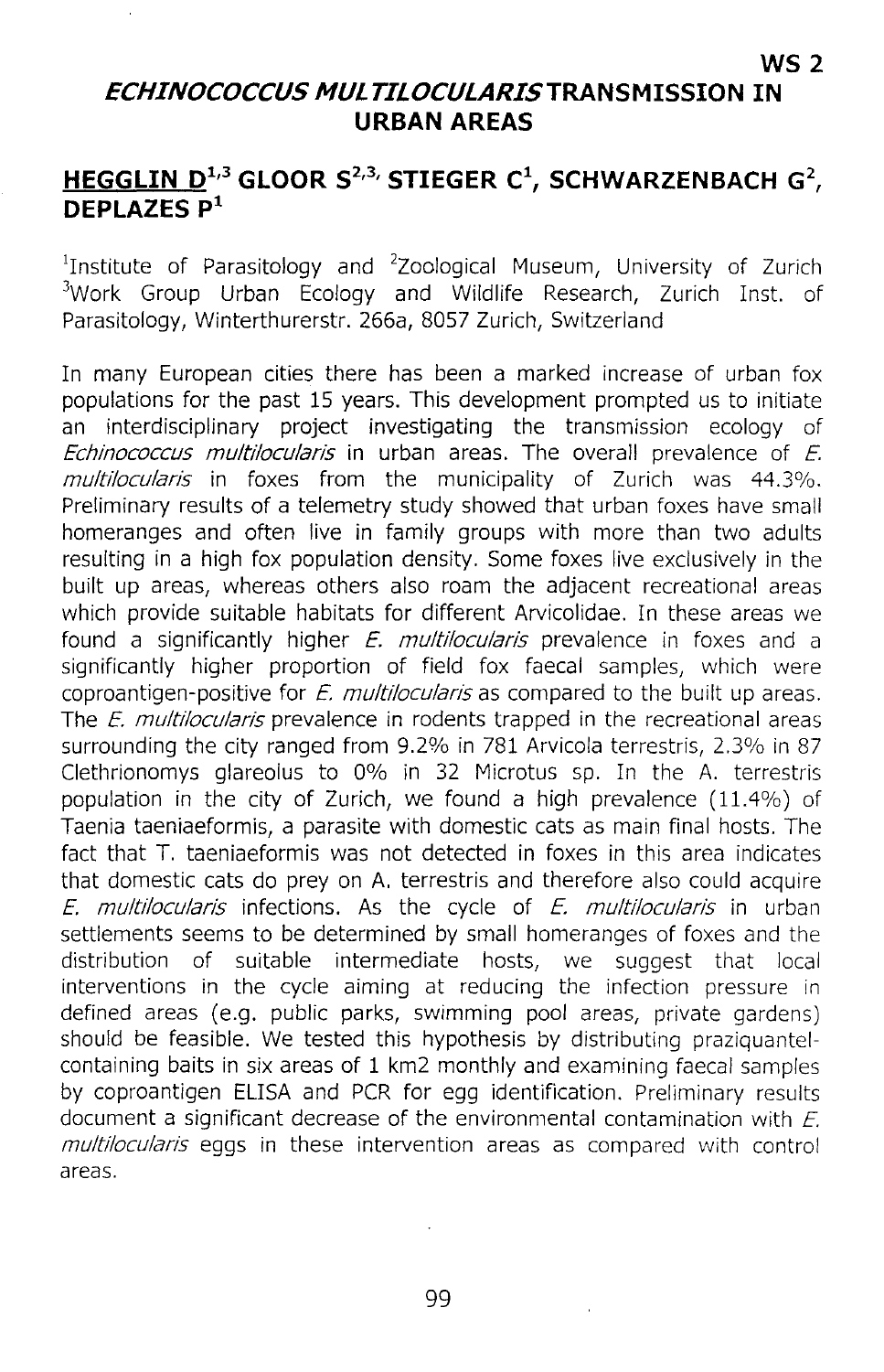## **ECHINOCOCCUS MULTILOCULARISTRANSMISSION IN URBAN AREAS**

**WS2**

## **HEGGLIN 0 <sup>1</sup> ,3 GLOOR** S2,3, **STIEGER C\ SCHWARZENBACH G2, OEPLAZES p<sup>1</sup>**

<sup>1</sup>Institute of Parasitology and  $2$ Zoological Museum, University of Zurich <sup>3</sup>Work Group Urban Ecology and Wildlife Research, Zurich Inst. of Parasitology, Winterthurerstr. 266a, 8057 Zurich, SWitzerland

In many European cities there has been a marked increase of urban fox populations for the past 15 years. This development prompted us to initiate an interdisciplinary project investigating the transmission ecology of Echinococcus multilocularis in urban areas. The overall prevalence of  $E$ . multilocularis in foxes from the municipality of Zurich was 44.3%. Preliminary results of a telemetry study showed that urban foxes have small homeranges and often live in family groups with more than two adults resulting in a high fox population density. Some foxes live exclusively in the built up areas, whereas others also roam the adjacent recreational areas which provide suitable habitats for different Arvicolidae. In these areas we found a significantly higher  $E$ . multilocularis prevalence in foxes and a significantly higher proportion of field fox faecal samples, which were coproantigen-positive for E. multilocularis as compared to the built up areas. The  $E$ . multilocularis prevalence in rodents trapped in the recreational areas surrounding the city ranged from 9.2% in 781 Arvicola terrestris, 2.3% in 87 Clethrionomys glareolus to 0% in 32 Microtus sp. In the A. terrestris population in the city of Zurich, we found a high prevalence (11.4%) of Taenia taeniaeformis, a parasite with domestic cats as main final hosts. The fact that T. taeniaeformis was not detected in foxes in this area indicates that domestic cats do prey on A. terrestris and therefore also could acquire E. multilocularis infections. As the cycle of  $E$ . multilocularis in urban settlements seems to be determined by small homeranges of foxes and the distribution of suitable intermediate hosts, we suggest that local interventions in the cycle aiming at reducing the infection pressure in defined areas (e.g. public parks, swimming pool areas, private gardens) should be feasible. We tested this hypothesis by distributing praziquantelcontaining baits in six areas of 1 km2 monthly and examining faecal samples by coproantigen ELISA and PCR for egg identification. Preliminary results document a significant decrease of the environmental contamination with  $E$ . multilocularis eggs in these intervention areas as compared with control areas.